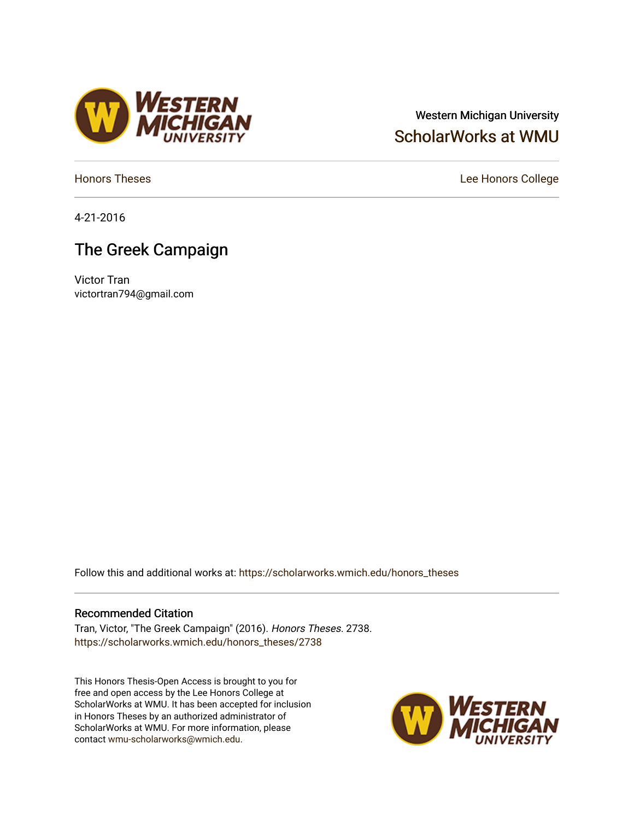## Western Michigan University [ScholarWorks at WMU](https://scholarworks.wmich.edu/)

4-21-2016

# The Greek Campaign

Victor Tran victortran794@gmail.com

Follow this and additional works at: [https://scholarworks.wmich.edu/honors\\_theses](https://scholarworks.wmich.edu/honors_theses?utm_source=scholarworks.wmich.edu%2Fhonors_theses%2F2738&utm_medium=PDF&utm_campaign=PDFCoverPages)

### Recommended Citation

Tran, Victor, "The Greek Campaign" (2016). Honors Theses. 2738. [https://scholarworks.wmich.edu/honors\\_theses/2738](https://scholarworks.wmich.edu/honors_theses/2738?utm_source=scholarworks.wmich.edu%2Fhonors_theses%2F2738&utm_medium=PDF&utm_campaign=PDFCoverPages) 

This Honors Thesis-Open Access is brought to you for free and open access by the Lee Honors College at ScholarWorks at WMU. It has been accepted for inclusion in Honors Theses by an authorized administrator of ScholarWorks at WMU. For more information, please contact [wmu-scholarworks@wmich.edu](mailto:wmu-scholarworks@wmich.edu).





[Honors Theses](https://scholarworks.wmich.edu/honors_theses) **Lee Honors** College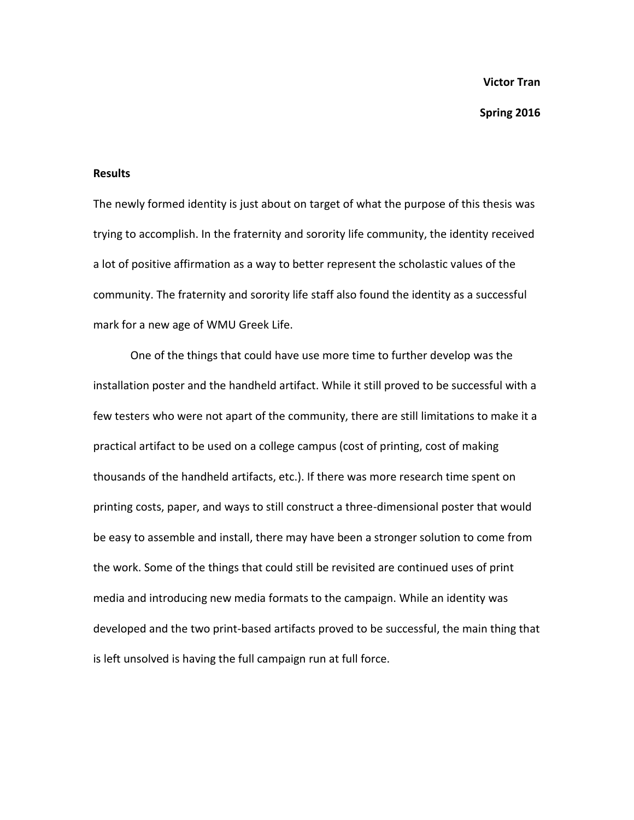**Spring 2016**

#### **Results**

The newly formed identity is just about on target of what the purpose of this thesis was trying to accomplish. In the fraternity and sorority life community, the identity received a lot of positive affirmation as a way to better represent the scholastic values of the community. The fraternity and sorority life staff also found the identity as a successful mark for a new age of WMU Greek Life.

One of the things that could have use more time to further develop was the installation poster and the handheld artifact. While it still proved to be successful with a few testers who were not apart of the community, there are still limitations to make it a practical artifact to be used on a college campus (cost of printing, cost of making thousands of the handheld artifacts, etc.). If there was more research time spent on printing costs, paper, and ways to still construct a three-dimensional poster that would be easy to assemble and install, there may have been a stronger solution to come from the work. Some of the things that could still be revisited are continued uses of print media and introducing new media formats to the campaign. While an identity was developed and the two print-based artifacts proved to be successful, the main thing that is left unsolved is having the full campaign run at full force.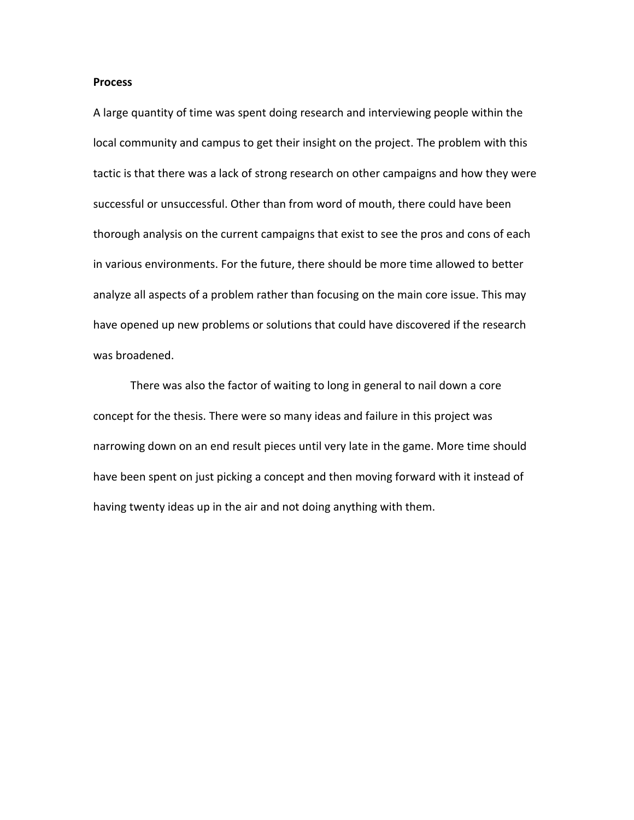#### **Process**

A large quantity of time was spent doing research and interviewing people within the local community and campus to get their insight on the project. The problem with this tactic is that there was a lack of strong research on other campaigns and how they were successful or unsuccessful. Other than from word of mouth, there could have been thorough analysis on the current campaigns that exist to see the pros and cons of each in various environments. For the future, there should be more time allowed to better analyze all aspects of a problem rather than focusing on the main core issue. This may have opened up new problems or solutions that could have discovered if the research was broadened.

There was also the factor of waiting to long in general to nail down a core concept for the thesis. There were so many ideas and failure in this project was narrowing down on an end result pieces until very late in the game. More time should have been spent on just picking a concept and then moving forward with it instead of having twenty ideas up in the air and not doing anything with them.